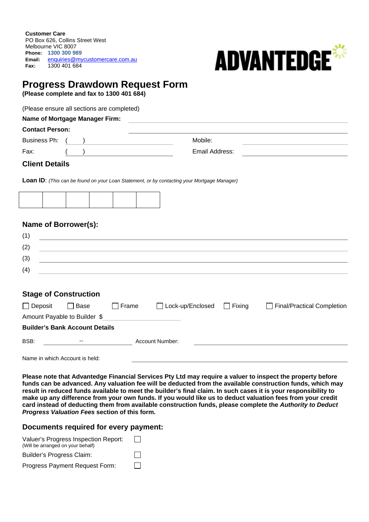**Customer Care** PO Box 626, Collins Street West Melbourne VIC 8007 **Phone: 1300 300 989 Email:** enquiries@mycustomercare.com.au **Fax:** 1300 401 684



# **Progress Drawdown Request Form**

**(Please complete and fax to 1300 401 684)** 

(Please ensure all sections are completed)

#### **Name of Mortgage Manager Firm:**

| <b>Contact Person:</b> |  |                |  |
|------------------------|--|----------------|--|
| Business Ph:           |  | Mobile:        |  |
| Fax:                   |  | Email Address: |  |

### **Client Details**

**Loan ID**: *(This can be found on your Loan Statement, or by contacting your Mortgage Manager)* 



# **Name of Borrower(s):**

| (1) |  |
|-----|--|
| (2) |  |
| (3) |  |
| (4) |  |
|     |  |

# **Stage of Construction**

| <u>UNGU UNI UUNG AUNUN</u>     |                                       |       |                    |          |                            |
|--------------------------------|---------------------------------------|-------|--------------------|----------|----------------------------|
| Deposit                        | Base                                  | Frame | □ Lock-up/Enclosed | l Fixina | Final/Practical Completion |
|                                | Amount Payable to Builder \$          |       |                    |          |                            |
|                                | <b>Builder's Bank Account Details</b> |       |                    |          |                            |
| BSB:<br>--                     |                                       |       | Account Number:    |          |                            |
| Name in which Account is held: |                                       |       |                    |          |                            |

**Please note that Advantedge Financial Services Pty Ltd may require a valuer to inspect the property before funds can be advanced. Any valuation fee will be deducted from the available construction funds, which may result in reduced funds available to meet the builder's final claim. In such cases it is your responsibility to make up any difference from your own funds. If you would like us to deduct valuation fees from your credit card instead of deducting them from available construction funds, please complete the** *Authority to Deduct Progress Valuation Fees* **section of this form.** 

# **Documents required for every payment:**

| Valuer's Progress Inspection Report:<br>(Will be arranged on your behalf) | $\mathbf{1}$ |
|---------------------------------------------------------------------------|--------------|
| Builder's Progress Claim:                                                 | $\perp$      |
| Progress Payment Request Form:                                            | $\mathbf{I}$ |